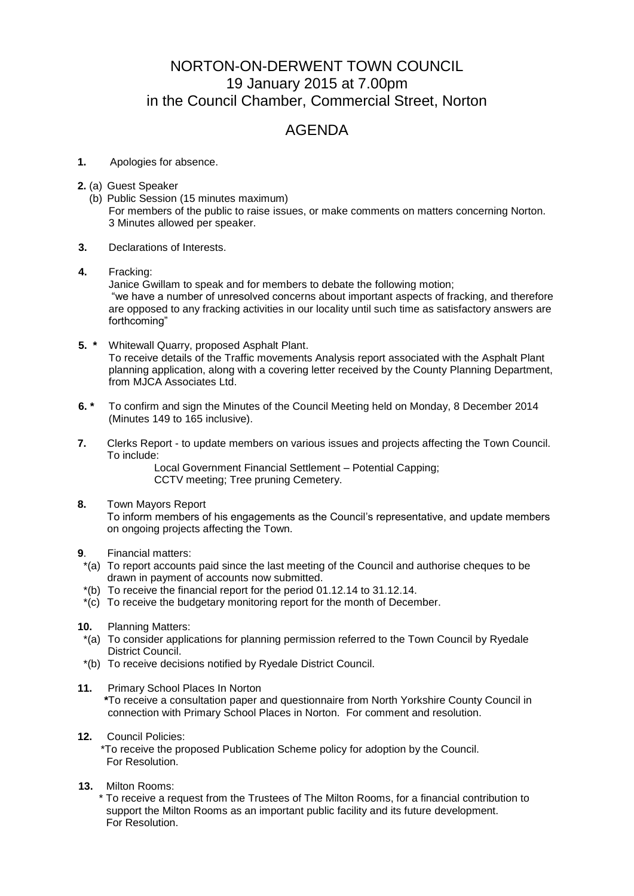## NORTON-ON-DERWENT TOWN COUNCIL 19 January 2015 at 7.00pm in the Council Chamber, Commercial Street, Norton

## AGENDA

- **1.** Apologies for absence.
- **2.** (a) Guest Speaker
	- (b) Public Session (15 minutes maximum) For members of the public to raise issues, or make comments on matters concerning Norton. 3 Minutes allowed per speaker.
- **3.** Declarations of Interests.
- **4.** Fracking:

Janice Gwillam to speak and for members to debate the following motion; "we have a number of unresolved concerns about important aspects of fracking, and therefore are opposed to any fracking activities in our locality until such time as satisfactory answers are forthcoming"

- **5. \*** Whitewall Quarry, proposed Asphalt Plant. To receive details of the Traffic movements Analysis report associated with the Asphalt Plant planning application, along with a covering letter received by the County Planning Department, from MJCA Associates Ltd.
- **6. \*** To confirm and sign the Minutes of the Council Meeting held on Monday, 8 December 2014 (Minutes 149 to 165 inclusive).
- **7.** Clerks Report to update members on various issues and projects affecting the Town Council. To include:

Local Government Financial Settlement – Potential Capping; CCTV meeting; Tree pruning Cemetery.

**8.** Town Mayors Report

 To inform members of his engagements as the Council's representative, and update members on ongoing projects affecting the Town.

- **9**. Financial matters:
- \*(a) To report accounts paid since the last meeting of the Council and authorise cheques to be drawn in payment of accounts now submitted.
- \*(b) To receive the financial report for the period 01.12.14 to 31.12.14.
- \*(c) To receive the budgetary monitoring report for the month of December.
- **10.** Planning Matters:
- \*(a) To consider applications for planning permission referred to the Town Council by Ryedale District Council.
- \*(b) To receive decisions notified by Ryedale District Council.
- **11.** Primary School Places In Norton  **\***To receive a consultation paper and questionnaire from North Yorkshire County Council in connection with Primary School Places in Norton. For comment and resolution.
- **12.** Council Policies:
	- \*To receive the proposed Publication Scheme policy for adoption by the Council. For Resolution.
- **13.** Milton Rooms:

 \* To receive a request from the Trustees of The Milton Rooms, for a financial contribution to support the Milton Rooms as an important public facility and its future development. For Resolution.